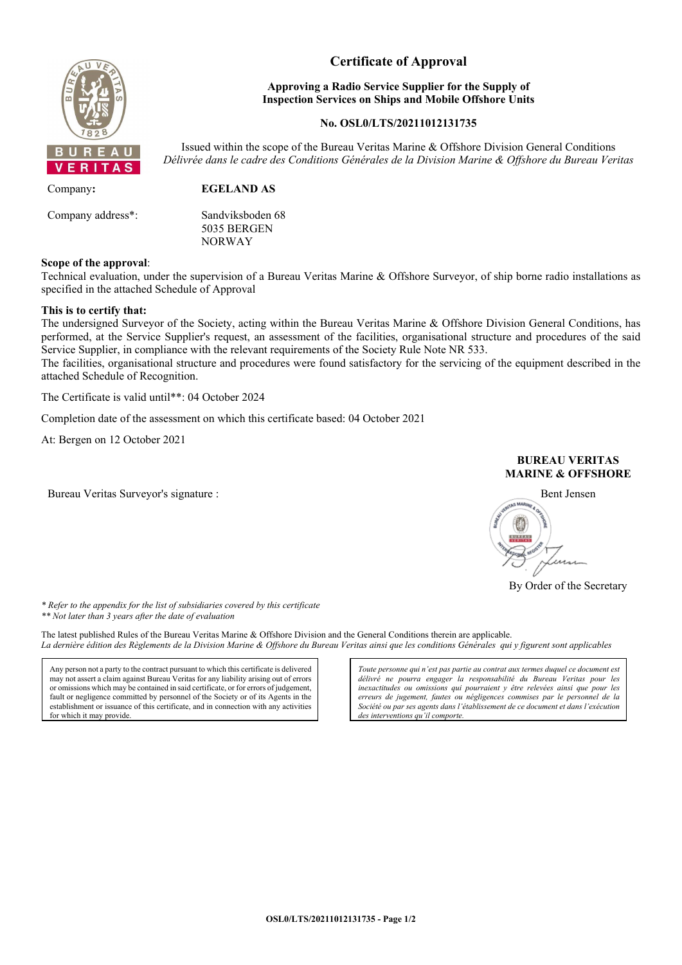

# **Certificate of Approval**

### **Approving a Radio Service Supplier for the Supply of Inspection Services on Ships and Mobile Offshore Units**

### **No. OSL0/LTS/20211012131735**

Issued within the scope of the Bureau Veritas Marine & Offshore Division General Conditions *Délivrée dans le cadre des Conditions Générales de la Division Marine & Offshore du Bureau Veritas*

Company**: EGELAND AS** Company address\*: Sandviksboden 68 5035 BERGEN NORWAY

### **Scope of the approval**:

Technical evaluation, under the supervision of a Bureau Veritas Marine & Offshore Surveyor, of ship borne radio installations as specified in the attached Schedule of Approval

### **This is to certify that:**

The undersigned Surveyor of the Society, acting within the Bureau Veritas Marine & Offshore Division General Conditions, has performed, at the Service Supplier's request, an assessment of the facilities, organisational structure and procedures of the said Service Supplier, in compliance with the relevant requirements of the Society Rule Note NR 533.

The facilities, organisational structure and procedures were found satisfactory for the servicing of the equipment described in the attached Schedule of Recognition.

The Certificate is valid until\*\*: 04 October 2024

Completion date of the assessment on which this certificate based: 04 October 2021

At: Bergen on 12 October 2021

Bureau Veritas Surveyor's signature : Bent Jensen

### **BUREAU VERITAS MARINE & OFFSHORE**



By Order of the Secretary

*\* Refer to the appendix for the list of subsidiaries covered by this certificate \*\* Not later than 3 years after the date of evaluation*

The latest published Rules of the Bureau Veritas Marine & Offshore Division and the General Conditions therein are applicable. *La dernière édition des Règlements de la Division Marine & Offshore du Bureau Veritas ainsi que les conditions Générales qui y figurent sont applicables*

Any person not a party to the contract pursuant to which this certificate is delivered may not assert a claim against Bureau Veritas for any liability arising out of errors or omissions which may be contained in said certificate, or for errors of judgement, fault or negligence committed by personnel of the Society or of its Agents in the establishment or issuance of this certificate, and in connection with any activities for which it may provide.

*Toute personne qui n'est pas partie au contrat aux termes duquel ce document est délivré ne pourra engager la responsabilité du Bureau Veritas pour les inexactitudes ou omissions qui pourraient y être relevées ainsi que pour les erreurs de jugement, fautes ou négligences commises par le personnel de la Société ou par ses agents dans l'établissement de ce document et dans l'exécution des interventions qu'il comporte.*